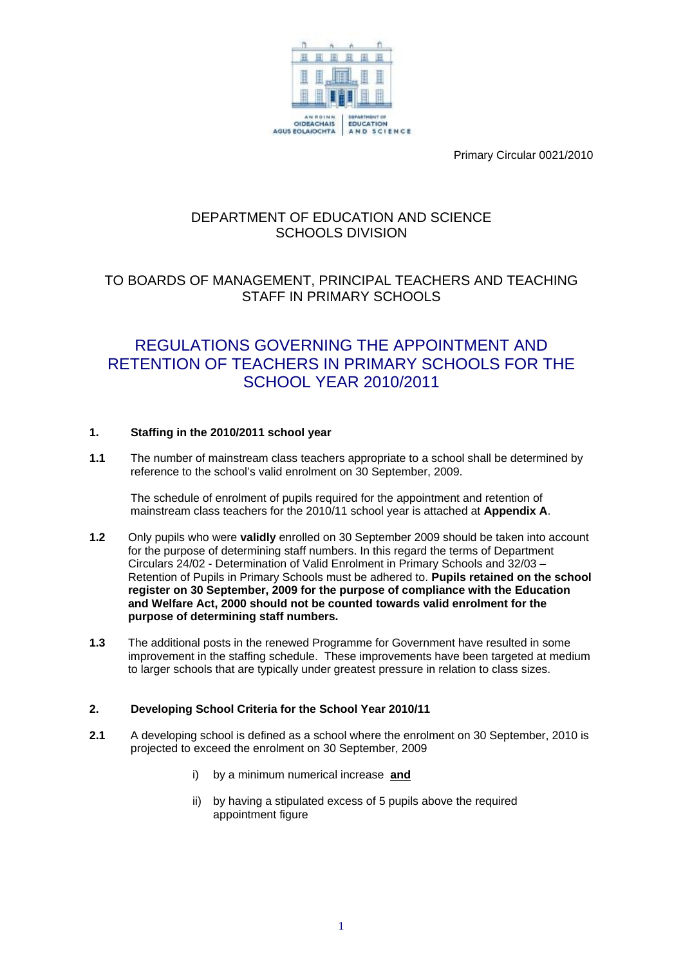

Primary Circular 0021/2010

# DEPARTMENT OF EDUCATION AND SCIENCE SCHOOLS DIVISION

# TO BOARDS OF MANAGEMENT, PRINCIPAL TEACHERS AND TEACHING STAFF IN PRIMARY SCHOOLS

# REGULATIONS GOVERNING THE APPOINTMENT AND RETENTION OF TEACHERS IN PRIMARY SCHOOLS FOR THE SCHOOL YEAR 2010/2011

# **1. Staffing in the 2010/2011 school year**

**1.1** The number of mainstream class teachers appropriate to a school shall be determined by reference to the school's valid enrolment on 30 September, 2009.

The schedule of enrolment of pupils required for the appointment and retention of mainstream class teachers for the 2010/11 school year is attached at **Appendix A**.

- **1.2** Only pupils who were **validly** enrolled on 30 September 2009 should be taken into account for the purpose of determining staff numbers. In this regard the terms of Department Circulars 24/02 - Determination of Valid Enrolment in Primary Schools and 32/03 – Retention of Pupils in Primary Schools must be adhered to. **Pupils retained on the school register on 30 September, 2009 for the purpose of compliance with the Education and Welfare Act, 2000 should not be counted towards valid enrolment for the purpose of determining staff numbers.**
- **1.3** The additional posts in the renewed Programme for Government have resulted in some improvement in the staffing schedule. These improvements have been targeted at medium to larger schools that are typically under greatest pressure in relation to class sizes.

# **2. Developing School Criteria for the School Year 2010/11**

- **2.1** A developing school is defined as a school where the enrolment on 30 September, 2010 is projected to exceed the enrolment on 30 September, 2009
	- i) by a minimum numerical increase **and**
	- ii) by having a stipulated excess of 5 pupils above the required appointment figure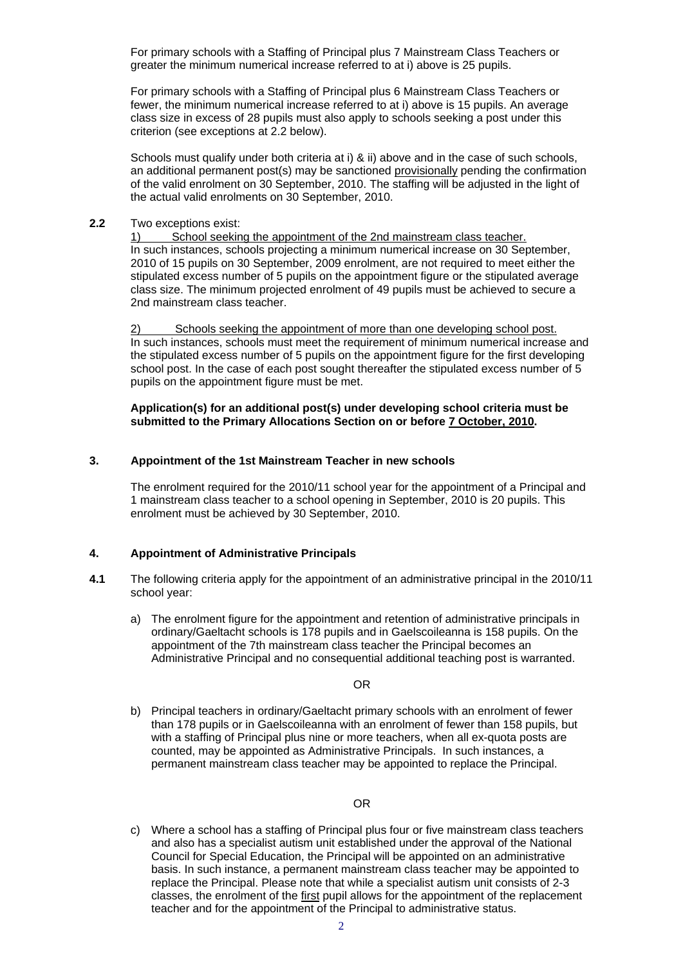For primary schools with a Staffing of Principal plus 7 Mainstream Class Teachers or greater the minimum numerical increase referred to at i) above is 25 pupils.

For primary schools with a Staffing of Principal plus 6 Mainstream Class Teachers or fewer, the minimum numerical increase referred to at i) above is 15 pupils. An average class size in excess of 28 pupils must also apply to schools seeking a post under this criterion (see exceptions at 2.2 below).

Schools must qualify under both criteria at i) & ii) above and in the case of such schools, an additional permanent post(s) may be sanctioned provisionally pending the confirmation of the valid enrolment on 30 September, 2010. The staffing will be adjusted in the light of the actual valid enrolments on 30 September, 2010.

#### **2.2** Two exceptions exist:

1) School seeking the appointment of the 2nd mainstream class teacher. In such instances, schools projecting a minimum numerical increase on 30 September, 2010 of 15 pupils on 30 September, 2009 enrolment, are not required to meet either the stipulated excess number of 5 pupils on the appointment figure or the stipulated average class size. The minimum projected enrolment of 49 pupils must be achieved to secure a 2nd mainstream class teacher.

2) Schools seeking the appointment of more than one developing school post. In such instances, schools must meet the requirement of minimum numerical increase and the stipulated excess number of 5 pupils on the appointment figure for the first developing school post. In the case of each post sought thereafter the stipulated excess number of 5 pupils on the appointment figure must be met.

#### **Application(s) for an additional post(s) under developing school criteria must be submitted to the Primary Allocations Section on or before 7 October, 2010.**

#### **3. Appointment of the 1st Mainstream Teacher in new schools**

The enrolment required for the 2010/11 school year for the appointment of a Principal and 1 mainstream class teacher to a school opening in September, 2010 is 20 pupils. This enrolment must be achieved by 30 September, 2010.

# **4. Appointment of Administrative Principals**

- **4.1** The following criteria apply for the appointment of an administrative principal in the 2010/11 school year:
	- a) The enrolment figure for the appointment and retention of administrative principals in ordinary/Gaeltacht schools is 178 pupils and in Gaelscoileanna is 158 pupils. On the appointment of the 7th mainstream class teacher the Principal becomes an Administrative Principal and no consequential additional teaching post is warranted.

#### OR

b) Principal teachers in ordinary/Gaeltacht primary schools with an enrolment of fewer than 178 pupils or in Gaelscoileanna with an enrolment of fewer than 158 pupils, but with a staffing of Principal plus nine or more teachers, when all ex-quota posts are counted, may be appointed as Administrative Principals. In such instances, a permanent mainstream class teacher may be appointed to replace the Principal.

#### OR

c) Where a school has a staffing of Principal plus four or five mainstream class teachers and also has a specialist autism unit established under the approval of the National Council for Special Education, the Principal will be appointed on an administrative basis. In such instance, a permanent mainstream class teacher may be appointed to replace the Principal. Please note that while a specialist autism unit consists of 2-3 classes, the enrolment of the first pupil allows for the appointment of the replacement teacher and for the appointment of the Principal to administrative status.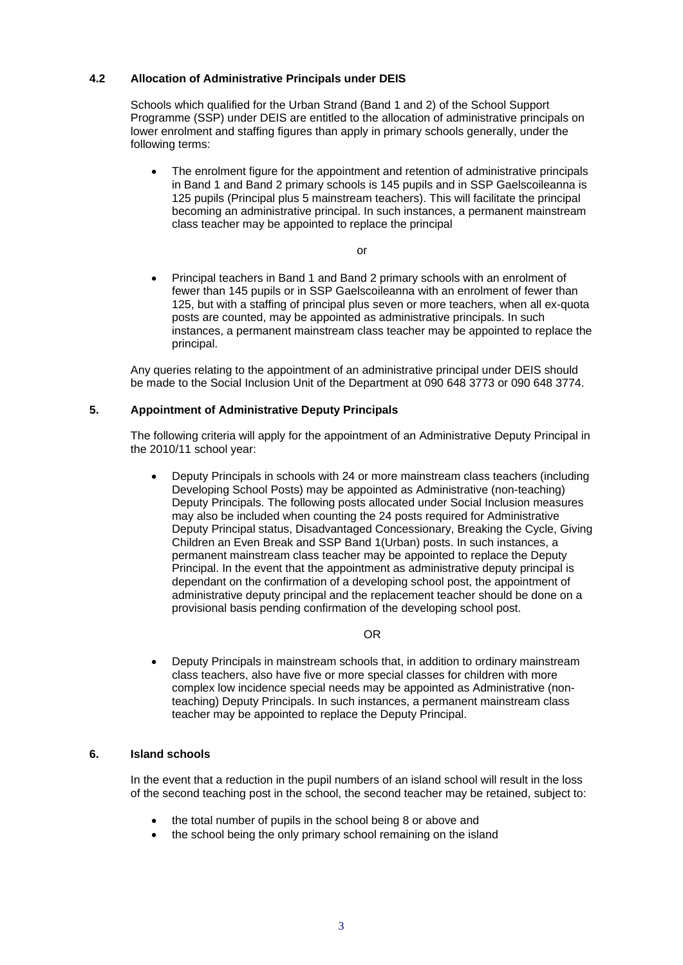#### **4.2 Allocation of Administrative Principals under DEIS**

Schools which qualified for the Urban Strand (Band 1 and 2) of the School Support Programme (SSP) under DEIS are entitled to the allocation of administrative principals on lower enrolment and staffing figures than apply in primary schools generally, under the following terms:

• The enrolment figure for the appointment and retention of administrative principals in Band 1 and Band 2 primary schools is 145 pupils and in SSP Gaelscoileanna is 125 pupils (Principal plus 5 mainstream teachers). This will facilitate the principal becoming an administrative principal. In such instances, a permanent mainstream class teacher may be appointed to replace the principal

 $\alpha$ r

• Principal teachers in Band 1 and Band 2 primary schools with an enrolment of fewer than 145 pupils or in SSP Gaelscoileanna with an enrolment of fewer than 125, but with a staffing of principal plus seven or more teachers, when all ex-quota posts are counted, may be appointed as administrative principals. In such instances, a permanent mainstream class teacher may be appointed to replace the principal.

Any queries relating to the appointment of an administrative principal under DEIS should be made to the Social Inclusion Unit of the Department at 090 648 3773 or 090 648 3774.

# **5. Appointment of Administrative Deputy Principals**

The following criteria will apply for the appointment of an Administrative Deputy Principal in the 2010/11 school year:

• Deputy Principals in schools with 24 or more mainstream class teachers (including Developing School Posts) may be appointed as Administrative (non-teaching) Deputy Principals. The following posts allocated under Social Inclusion measures may also be included when counting the 24 posts required for Administrative Deputy Principal status, Disadvantaged Concessionary, Breaking the Cycle, Giving Children an Even Break and SSP Band 1(Urban) posts. In such instances, a permanent mainstream class teacher may be appointed to replace the Deputy Principal. In the event that the appointment as administrative deputy principal is dependant on the confirmation of a developing school post, the appointment of administrative deputy principal and the replacement teacher should be done on a provisional basis pending confirmation of the developing school post.

#### OR

• Deputy Principals in mainstream schools that, in addition to ordinary mainstream class teachers, also have five or more special classes for children with more complex low incidence special needs may be appointed as Administrative (nonteaching) Deputy Principals. In such instances, a permanent mainstream class teacher may be appointed to replace the Deputy Principal.

# **6. Island schools**

In the event that a reduction in the pupil numbers of an island school will result in the loss of the second teaching post in the school, the second teacher may be retained, subject to:

- the total number of pupils in the school being 8 or above and
- the school being the only primary school remaining on the island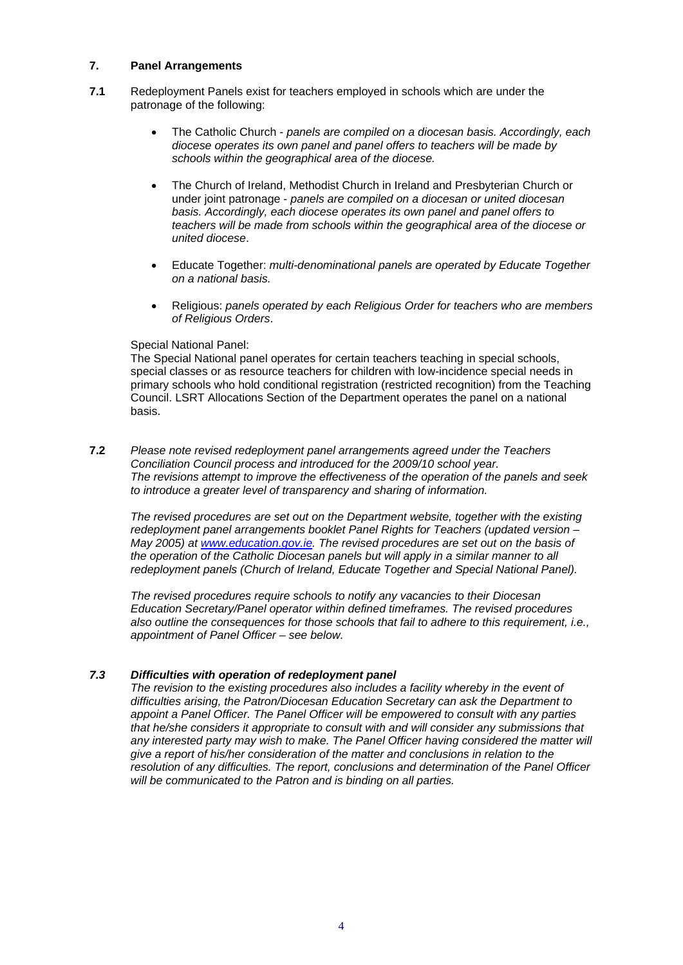#### **7. Panel Arrangements**

- **7.1** Redeployment Panels exist for teachers employed in schools which are under the patronage of the following:
	- The Catholic Church *panels are compiled on a diocesan basis. Accordingly, each diocese operates its own panel and panel offers to teachers will be made by schools within the geographical area of the diocese.*
	- The Church of Ireland, Methodist Church in Ireland and Presbyterian Church or under joint patronage - *panels are compiled on a diocesan or united diocesan basis. Accordingly, each diocese operates its own panel and panel offers to teachers will be made from schools within the geographical area of the diocese or united diocese*.
	- Educate Together: *multi-denominational panels are operated by Educate Together on a national basis.*
	- Religious: *panels operated by each Religious Order for teachers who are members of Religious Orders*.

#### Special National Panel:

The Special National panel operates for certain teachers teaching in special schools, special classes or as resource teachers for children with low-incidence special needs in primary schools who hold conditional registration (restricted recognition) from the Teaching Council. LSRT Allocations Section of the Department operates the panel on a national basis.

**7.2** *Please note revised redeployment panel arrangements agreed under the Teachers Conciliation Council process and introduced for the 2009/10 school year. The revisions attempt to improve the effectiveness of the operation of the panels and seek to introduce a greater level of transparency and sharing of information.* 

*The revised procedures are set out on the Department website, together with the existing redeployment panel arrangements booklet Panel Rights for Teachers (updated version – May 2005) at [www.education.gov.ie](http://www.education.gov.ie/). The revised procedures are set out on the basis of the operation of the Catholic Diocesan panels but will apply in a similar manner to all redeployment panels (Church of Ireland, Educate Together and Special National Panel).* 

*The revised procedures require schools to notify any vacancies to their Diocesan Education Secretary/Panel operator within defined timeframes. The revised procedures also outline the consequences for those schools that fail to adhere to this requirement, i.e., appointment of Panel Officer – see below.* 

# *7.3 Difficulties with operation of redeployment panel*

*The revision to the existing procedures also includes a facility whereby in the event of difficulties arising, the Patron/Diocesan Education Secretary can ask the Department to appoint a Panel Officer. The Panel Officer will be empowered to consult with any parties that he/she considers it appropriate to consult with and will consider any submissions that*  any interested party may wish to make. The Panel Officer having considered the matter will *give a report of his/her consideration of the matter and conclusions in relation to the resolution of any difficulties. The report, conclusions and determination of the Panel Officer will be communicated to the Patron and is binding on all parties.*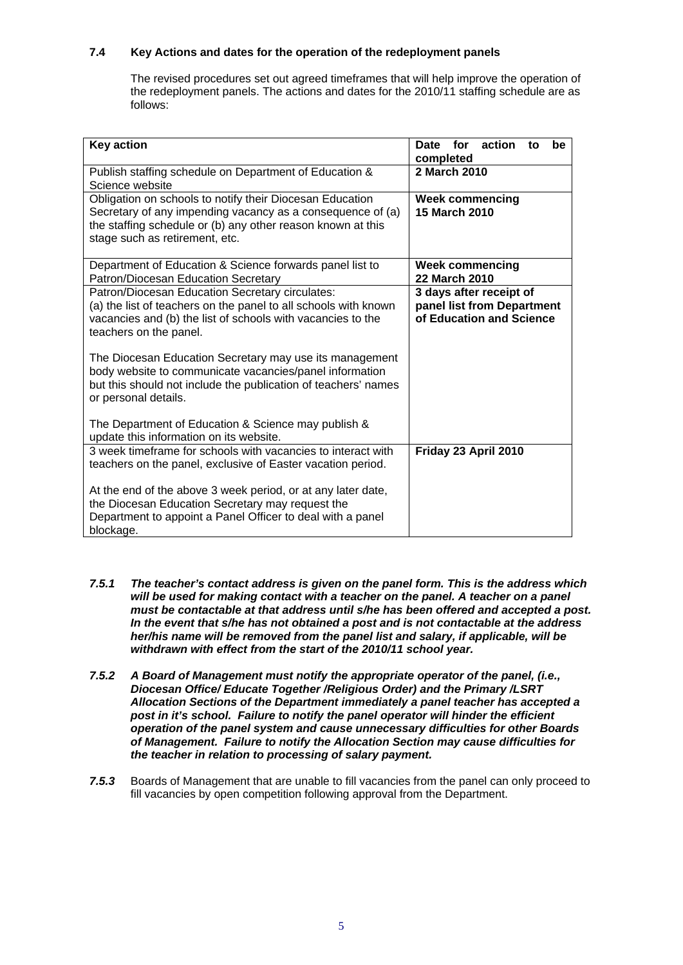# **7.4 Key Actions and dates for the operation of the redeployment panels**

The revised procedures set out agreed timeframes that will help improve the operation of the redeployment panels. The actions and dates for the 2010/11 staffing schedule are as follows:

| <b>Key action</b>                                                                                                                                                                                                                                                                                                                                                                                                           | Date for<br>action<br>be<br>to<br>completed                                       |
|-----------------------------------------------------------------------------------------------------------------------------------------------------------------------------------------------------------------------------------------------------------------------------------------------------------------------------------------------------------------------------------------------------------------------------|-----------------------------------------------------------------------------------|
| Publish staffing schedule on Department of Education &<br>Science website                                                                                                                                                                                                                                                                                                                                                   | 2 March 2010                                                                      |
| Obligation on schools to notify their Diocesan Education<br>Secretary of any impending vacancy as a consequence of (a)<br>the staffing schedule or (b) any other reason known at this<br>stage such as retirement, etc.                                                                                                                                                                                                     | <b>Week commencing</b><br><b>15 March 2010</b>                                    |
| Department of Education & Science forwards panel list to<br>Patron/Diocesan Education Secretary                                                                                                                                                                                                                                                                                                                             | <b>Week commencing</b><br><b>22 March 2010</b>                                    |
| Patron/Diocesan Education Secretary circulates:<br>(a) the list of teachers on the panel to all schools with known<br>vacancies and (b) the list of schools with vacancies to the<br>teachers on the panel.<br>The Diocesan Education Secretary may use its management<br>body website to communicate vacancies/panel information<br>but this should not include the publication of teachers' names<br>or personal details. | 3 days after receipt of<br>panel list from Department<br>of Education and Science |
| The Department of Education & Science may publish &<br>update this information on its website.                                                                                                                                                                                                                                                                                                                              |                                                                                   |
| 3 week timeframe for schools with vacancies to interact with<br>teachers on the panel, exclusive of Easter vacation period.<br>At the end of the above 3 week period, or at any later date,                                                                                                                                                                                                                                 | Friday 23 April 2010                                                              |
| the Diocesan Education Secretary may request the<br>Department to appoint a Panel Officer to deal with a panel<br>blockage.                                                                                                                                                                                                                                                                                                 |                                                                                   |

- *7.5.1 The teacher's contact address is given on the panel form. This is the address which*  will be used for making contact with a teacher on the panel. A teacher on a panel *must be contactable at that address until s/he has been offered and accepted a post. In the event that s/he has not obtained a post and is not contactable at the address her/his name will be removed from the panel list and salary, if applicable, will be withdrawn with effect from the start of the 2010/11 school year.*
- *7.5.2 A Board of Management must notify the appropriate operator of the panel, (i.e., Diocesan Office/ Educate Together /Religious Order) and the Primary /LSRT Allocation Sections of the Department immediately a panel teacher has accepted a post in it's school. Failure to notify the panel operator will hinder the efficient operation of the panel system and cause unnecessary difficulties for other Boards of Management. Failure to notify the Allocation Section may cause difficulties for the teacher in relation to processing of salary payment.*
- *7.5.3* Boards of Management that are unable to fill vacancies from the panel can only proceed to fill vacancies by open competition following approval from the Department.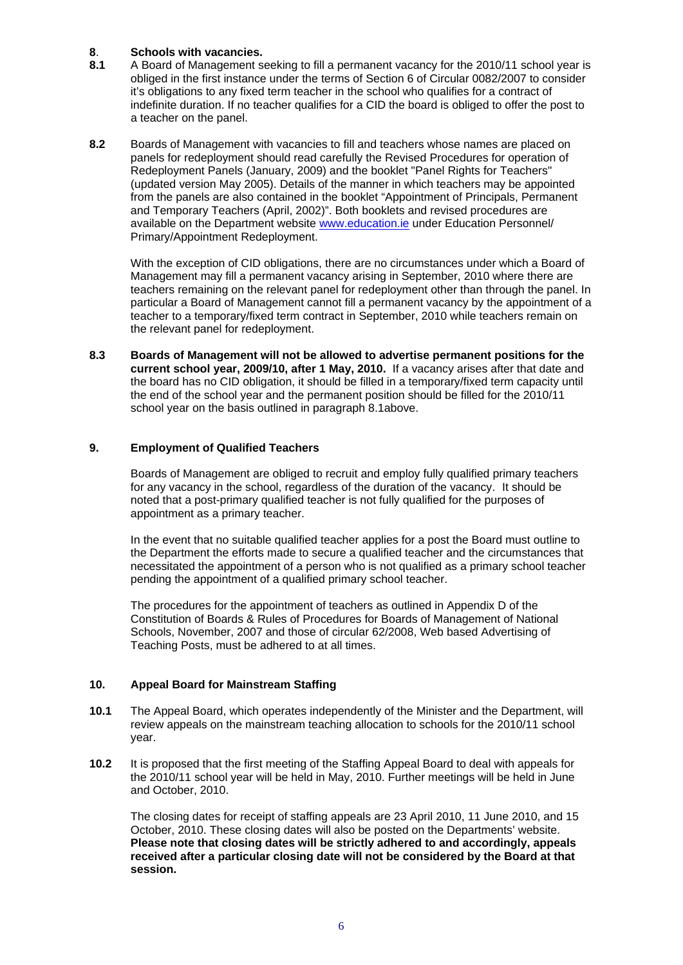#### **8**. **Schools with vacancies.**

- **8.1** A Board of Management seeking to fill a permanent vacancy for the 2010/11 school year is obliged in the first instance under the terms of Section 6 of Circular 0082/2007 to consider it's obligations to any fixed term teacher in the school who qualifies for a contract of indefinite duration. If no teacher qualifies for a CID the board is obliged to offer the post to a teacher on the panel.
- **8.2** Boards of Management with vacancies to fill and teachers whose names are placed on panels for redeployment should read carefully the Revised Procedures for operation of Redeployment Panels (January, 2009) and the booklet "Panel Rights for Teachers" (updated version May 2005). Details of the manner in which teachers may be appointed from the panels are also contained in the booklet "Appointment of Principals, Permanent and Temporary Teachers (April, 2002)". Both booklets and revised procedures are available on the Department website [www.education.ie](http://www.education.ie/) under Education Personnel/ Primary/Appointment Redeployment.

With the exception of CID obligations, there are no circumstances under which a Board of Management may fill a permanent vacancy arising in September, 2010 where there are teachers remaining on the relevant panel for redeployment other than through the panel. In particular a Board of Management cannot fill a permanent vacancy by the appointment of a teacher to a temporary/fixed term contract in September, 2010 while teachers remain on the relevant panel for redeployment.

**8.3 Boards of Management will not be allowed to advertise permanent positions for the current school year, 2009/10, after 1 May, 2010.** If a vacancy arises after that date and the board has no CID obligation, it should be filled in a temporary/fixed term capacity until the end of the school year and the permanent position should be filled for the 2010/11 school year on the basis outlined in paragraph 8.1above.

#### **9. Employment of Qualified Teachers**

Boards of Management are obliged to recruit and employ fully qualified primary teachers for any vacancy in the school, regardless of the duration of the vacancy. It should be noted that a post-primary qualified teacher is not fully qualified for the purposes of appointment as a primary teacher.

In the event that no suitable qualified teacher applies for a post the Board must outline to the Department the efforts made to secure a qualified teacher and the circumstances that necessitated the appointment of a person who is not qualified as a primary school teacher pending the appointment of a qualified primary school teacher.

The procedures for the appointment of teachers as outlined in Appendix D of the Constitution of Boards & Rules of Procedures for Boards of Management of National Schools, November, 2007 and those of circular 62/2008, Web based Advertising of Teaching Posts, must be adhered to at all times.

#### **10. Appeal Board for Mainstream Staffing**

- **10.1** The Appeal Board, which operates independently of the Minister and the Department, will review appeals on the mainstream teaching allocation to schools for the 2010/11 school year.
- **10.2** It is proposed that the first meeting of the Staffing Appeal Board to deal with appeals for the 2010/11 school year will be held in May, 2010. Further meetings will be held in June and October, 2010.

The closing dates for receipt of staffing appeals are 23 April 2010, 11 June 2010, and 15 October, 2010. These closing dates will also be posted on the Departments' website. **Please note that closing dates will be strictly adhered to and accordingly, appeals received after a particular closing date will not be considered by the Board at that session.**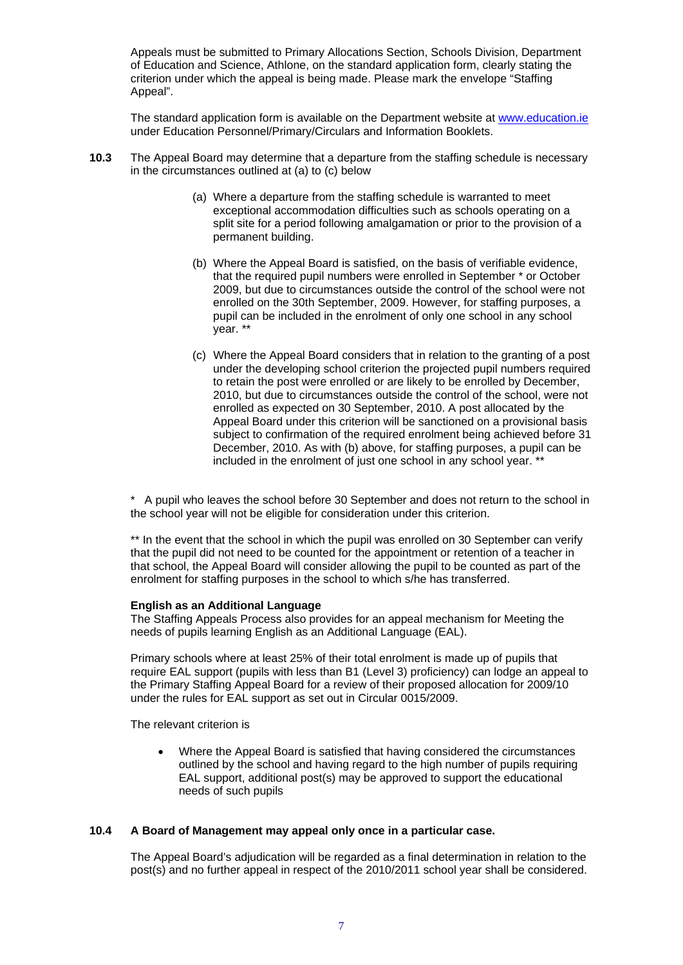Appeals must be submitted to Primary Allocations Section, Schools Division, Department of Education and Science, Athlone, on the standard application form, clearly stating the criterion under which the appeal is being made. Please mark the envelope "Staffing Appeal".

The standard application form is available on the Department website at [www.education.ie](http://www.education.ie/) under Education Personnel/Primary/Circulars and Information Booklets.

- **10.3** The Appeal Board may determine that a departure from the staffing schedule is necessary in the circumstances outlined at (a) to (c) below
	- (a) Where a departure from the staffing schedule is warranted to meet exceptional accommodation difficulties such as schools operating on a split site for a period following amalgamation or prior to the provision of a permanent building.
	- (b) Where the Appeal Board is satisfied, on the basis of verifiable evidence, that the required pupil numbers were enrolled in September \* or October 2009, but due to circumstances outside the control of the school were not enrolled on the 30th September, 2009. However, for staffing purposes, a pupil can be included in the enrolment of only one school in any school year. \*\*
	- (c) Where the Appeal Board considers that in relation to the granting of a post under the developing school criterion the projected pupil numbers required to retain the post were enrolled or are likely to be enrolled by December, 2010, but due to circumstances outside the control of the school, were not enrolled as expected on 30 September, 2010. A post allocated by the Appeal Board under this criterion will be sanctioned on a provisional basis subject to confirmation of the required enrolment being achieved before 31 December, 2010. As with (b) above, for staffing purposes, a pupil can be included in the enrolment of just one school in any school year. \*\*

\* A pupil who leaves the school before 30 September and does not return to the school in the school year will not be eligible for consideration under this criterion.

\*\* In the event that the school in which the pupil was enrolled on 30 September can verify that the pupil did not need to be counted for the appointment or retention of a teacher in that school, the Appeal Board will consider allowing the pupil to be counted as part of the enrolment for staffing purposes in the school to which s/he has transferred.

#### **English as an Additional Language**

The Staffing Appeals Process also provides for an appeal mechanism for Meeting the needs of pupils learning English as an Additional Language (EAL).

Primary schools where at least 25% of their total enrolment is made up of pupils that require EAL support (pupils with less than B1 (Level 3) proficiency) can lodge an appeal to the Primary Staffing Appeal Board for a review of their proposed allocation for 2009/10 under the rules for EAL support as set out in Circular 0015/2009.

The relevant criterion is

• Where the Appeal Board is satisfied that having considered the circumstances outlined by the school and having regard to the high number of pupils requiring EAL support, additional post(s) may be approved to support the educational needs of such pupils

# **10.4 A Board of Management may appeal only once in a particular case.**

The Appeal Board's adjudication will be regarded as a final determination in relation to the post(s) and no further appeal in respect of the 2010/2011 school year shall be considered.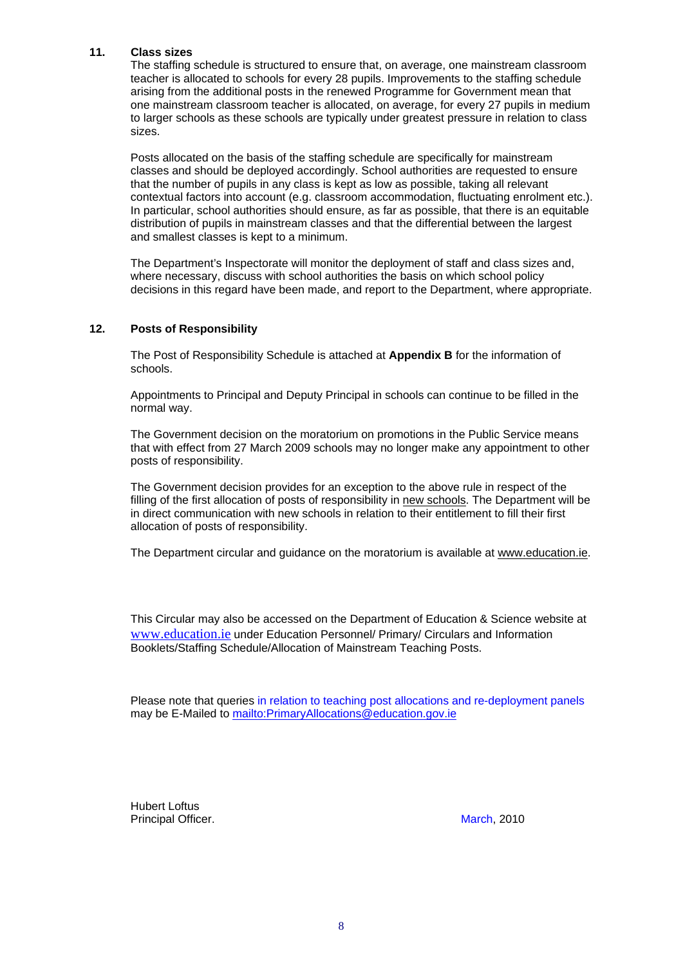#### **11. Class sizes**

The staffing schedule is structured to ensure that, on average, one mainstream classroom teacher is allocated to schools for every 28 pupils. Improvements to the staffing schedule arising from the additional posts in the renewed Programme for Government mean that one mainstream classroom teacher is allocated, on average, for every 27 pupils in medium to larger schools as these schools are typically under greatest pressure in relation to class sizes.

Posts allocated on the basis of the staffing schedule are specifically for mainstream classes and should be deployed accordingly. School authorities are requested to ensure that the number of pupils in any class is kept as low as possible, taking all relevant contextual factors into account (e.g. classroom accommodation, fluctuating enrolment etc.). In particular, school authorities should ensure, as far as possible, that there is an equitable distribution of pupils in mainstream classes and that the differential between the largest and smallest classes is kept to a minimum.

The Department's Inspectorate will monitor the deployment of staff and class sizes and, where necessary, discuss with school authorities the basis on which school policy decisions in this regard have been made, and report to the Department, where appropriate.

#### **12. Posts of Responsibility**

The Post of Responsibility Schedule is attached at **Appendix B** for the information of schools.

Appointments to Principal and Deputy Principal in schools can continue to be filled in the normal way.

The Government decision on the moratorium on promotions in the Public Service means that with effect from 27 March 2009 schools may no longer make any appointment to other posts of responsibility.

The Government decision provides for an exception to the above rule in respect of the filling of the first allocation of posts of responsibility in new schools. The Department will be in direct communication with new schools in relation to their entitlement to fill their first allocation of posts of responsibility.

The Department circular and guidance on the moratorium is available at [www.education.ie.](http://www.education.ie/)

This Circular may also be accessed on the Department of Education & Science website at [www.education.ie](http://www.education.ie/) under Education Personnel/ Primary/ Circulars and Information Booklets/Staffing Schedule/Allocation of Mainstream Teaching Posts.

Please note that queries in relation to teaching post allocations and re-deployment panels may be E-Mailed to <mailto:PrimaryAllocations@education.gov.ie>

Hubert Loftus Principal Officer. **March, 2010**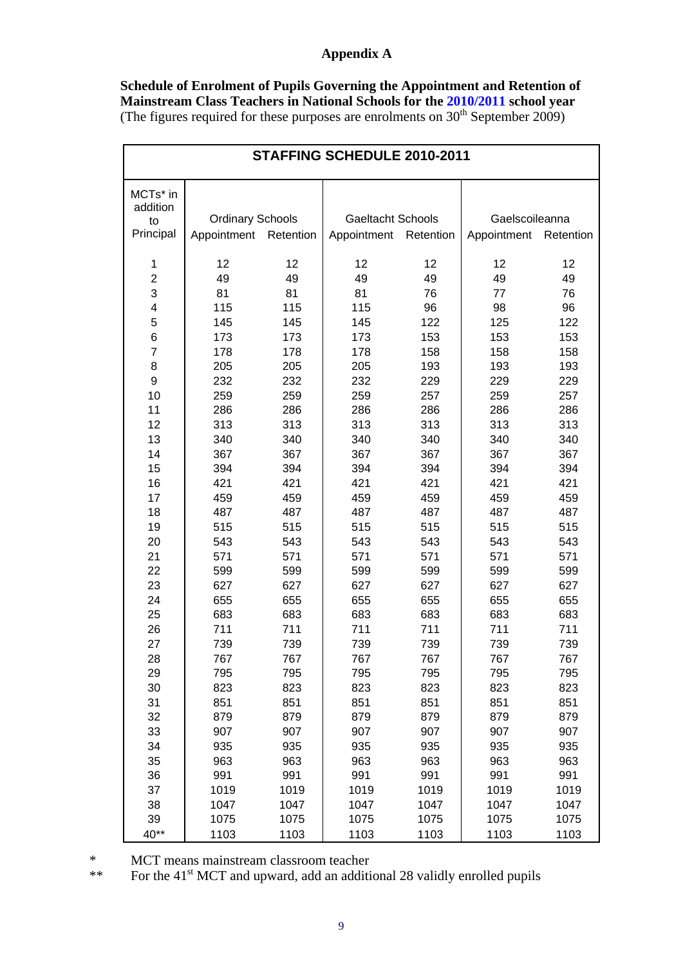# **Appendix A**

**Schedule of Enrolment of Pupils Governing the Appointment and Retention of Mainstream Class Teachers in National Schools for the 2010/2011 school year**  (The figures required for these purposes are enrolments on  $30<sup>th</sup>$  September 2009)

| STAFFING SCHEDULE 2010-2011   |                         |            |                          |            |                |            |  |  |
|-------------------------------|-------------------------|------------|--------------------------|------------|----------------|------------|--|--|
| MCTs* in<br>addition          |                         |            |                          |            |                |            |  |  |
| to                            | <b>Ordinary Schools</b> |            | <b>Gaeltacht Schools</b> |            | Gaelscoileanna |            |  |  |
| Principal                     | Appointment             | Retention  | Appointment Retention    |            | Appointment    | Retention  |  |  |
|                               |                         |            |                          |            |                |            |  |  |
| 1                             | 12                      | 12         | 12                       | 12         | 12             | 12         |  |  |
| $\overline{2}$                | 49                      | 49         | 49                       | 49         | 49             | 49         |  |  |
| 3                             | 81                      | 81         | 81                       | 76         | 77             | 76         |  |  |
| 4                             | 115                     | 115        | 115                      | 96         | 98             | 96         |  |  |
| 5                             | 145                     | 145        | 145                      | 122        | 125            | 122        |  |  |
| $\,$ 6 $\,$<br>$\overline{7}$ | 173                     | 173        | 173                      | 153        | 153            | 153        |  |  |
| 8                             | 178<br>205              | 178<br>205 | 178<br>205               | 158<br>193 | 158<br>193     | 158<br>193 |  |  |
| 9                             | 232                     | 232        | 232                      | 229        | 229            | 229        |  |  |
| 10                            | 259                     | 259        | 259                      | 257        | 259            | 257        |  |  |
| 11                            | 286                     | 286        | 286                      | 286        | 286            | 286        |  |  |
| 12                            | 313                     | 313        | 313                      | 313        | 313            | 313        |  |  |
| 13                            | 340                     | 340        | 340                      | 340        | 340            | 340        |  |  |
| 14                            | 367                     | 367        | 367                      | 367        | 367            | 367        |  |  |
| 15                            | 394                     | 394        | 394                      | 394        | 394            | 394        |  |  |
| 16                            | 421                     | 421        | 421                      | 421        | 421            | 421        |  |  |
| 17                            | 459                     | 459        | 459                      | 459        | 459            | 459        |  |  |
| 18                            | 487                     | 487        | 487                      | 487        | 487            | 487        |  |  |
| 19                            | 515                     | 515        | 515                      | 515        | 515            | 515        |  |  |
| 20                            | 543                     | 543        | 543                      | 543        | 543            | 543        |  |  |
| 21                            | 571                     | 571        | 571                      | 571        | 571            | 571        |  |  |
| 22                            | 599                     | 599        | 599                      | 599        | 599            | 599        |  |  |
| 23                            | 627                     | 627<br>655 | 627                      | 627<br>655 | 627            | 627<br>655 |  |  |
| 24<br>25                      | 655<br>683              | 683        | 655<br>683               | 683        | 655<br>683     | 683        |  |  |
| 26                            | 711                     | 711        | 711                      | 711        | 711            | 711        |  |  |
| 27                            | 739                     | 739        | 739                      | 739        | 739            | 739        |  |  |
| 28                            | 767                     | 767        | 767                      | 767        | 767            | 767        |  |  |
| 29                            | 795                     | 795        | 795                      | 795        | 795            | 795        |  |  |
| 30                            | 823                     | 823        | 823                      | 823        | 823            | 823        |  |  |
| 31                            | 851                     | 851        | 851                      | 851        | 851            | 851        |  |  |
| 32                            | 879                     | 879        | 879                      | 879        | 879            | 879        |  |  |
| 33                            | 907                     | 907        | 907                      | 907        | 907            | 907        |  |  |
| 34                            | 935                     | 935        | 935                      | 935        | 935            | 935        |  |  |
| 35                            | 963                     | 963        | 963                      | 963        | 963            | 963        |  |  |
| 36                            | 991                     | 991        | 991                      | 991        | 991            | 991        |  |  |
| 37                            | 1019                    | 1019       | 1019                     | 1019       | 1019           | 1019       |  |  |
| 38                            | 1047                    | 1047       | 1047                     | 1047       | 1047           | 1047       |  |  |
| 39                            | 1075                    | 1075       | 1075                     | 1075       | 1075           | 1075       |  |  |
| 40**                          | 1103                    | 1103       | 1103                     | 1103       | 1103           | 1103       |  |  |

\* MCT means mainstream classroom teacher

\*\* For the 41<sup>st</sup> MCT and upward, add an additional 28 validly enrolled pupils